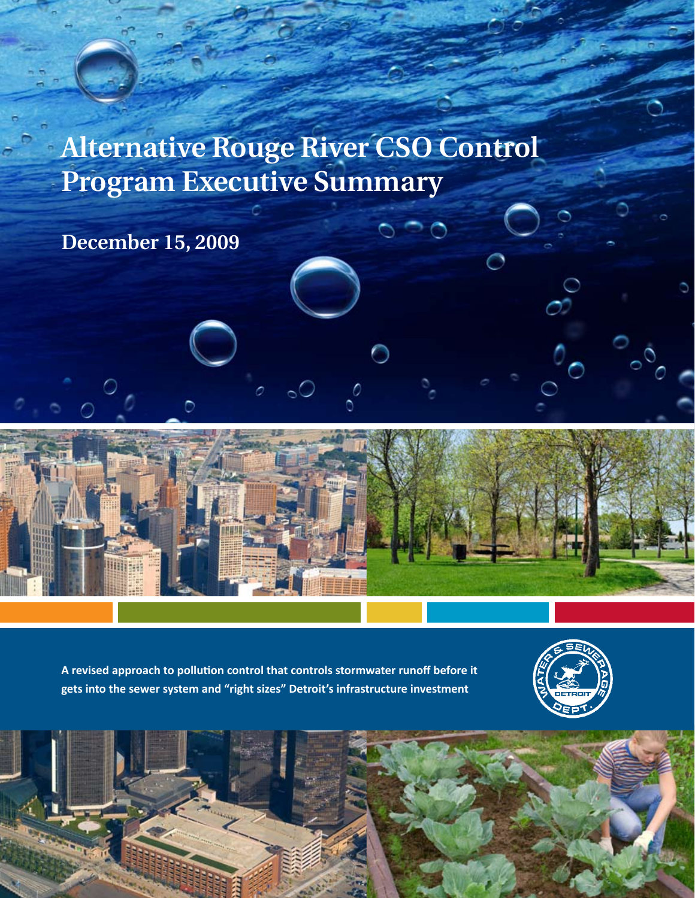# **Alternative Rouge River CSO Control Program Executive Summary**

**December 15, 2009**



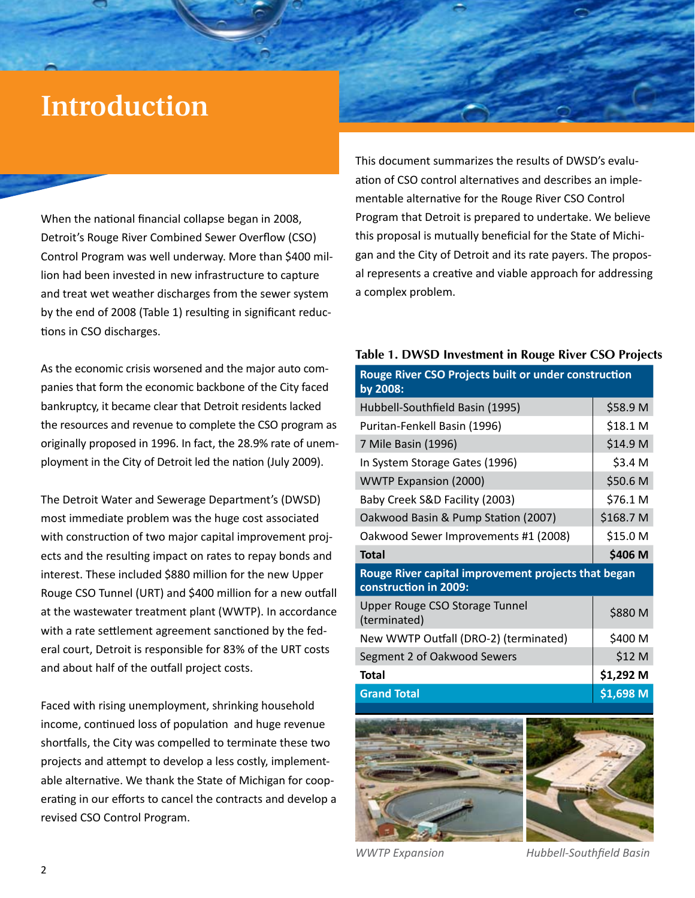# **Introduction**

When the national financial collapse began in 2008, Detroit's Rouge River Combined Sewer Overflow (CSO) Control Program was well underway. More than \$400 million had been invested in new infrastructure to capture and treat wet weather discharges from the sewer system by the end of 2008 (Table 1) resulting in significant reductions in CSO discharges.

As the economic crisis worsened and the major auto companies that form the economic backbone of the City faced bankruptcy, it became clear that Detroit residents lacked the resources and revenue to complete the CSO program as originally proposed in 1996. In fact, the 28.9% rate of unemployment in the City of Detroit led the nation (July 2009).

The Detroit Water and Sewerage Department's (DWSD) most immediate problem was the huge cost associated with construction of two major capital improvement projects and the resulting impact on rates to repay bonds and interest. These included \$880 million for the new Upper Rouge CSO Tunnel (URT) and \$400 million for a new outfall at the wastewater treatment plant (WWTP). In accordance with a rate settlement agreement sanctioned by the federal court, Detroit is responsible for 83% of the URT costs and about half of the outfall project costs.

Faced with rising unemployment, shrinking household income, continued loss of population and huge revenue shortfalls, the City was compelled to terminate these two projects and attempt to develop a less costly, implementable alternative. We thank the State of Michigan for cooperating in our efforts to cancel the contracts and develop a revised CSO Control Program.

This document summarizes the results of DWSD's evaluation of CSO control alternatives and describes an implementable alternative for the Rouge River CSO Control Program that Detroit is prepared to undertake. We believe this proposal is mutually beneficial for the State of Michigan and the City of Detroit and its rate payers. The proposal represents a creative and viable approach for addressing a complex problem.

| Table 1. DWSD Investment in Rouge River CSO Projects                         |            |
|------------------------------------------------------------------------------|------------|
| Rouge River CSO Projects built or under construction<br>by 2008:             |            |
| Hubbell-Southfield Basin (1995)                                              | \$58.9 M   |
| Puritan-Fenkell Basin (1996)                                                 | \$18.1 M   |
| 7 Mile Basin (1996)                                                          | \$14.9 M   |
| In System Storage Gates (1996)                                               | \$3.4 M    |
| <b>WWTP Expansion (2000)</b>                                                 | \$50.6 M   |
| Baby Creek S&D Facility (2003)                                               | \$76.1 M   |
| Oakwood Basin & Pump Station (2007)                                          | \$168.7 M  |
| Oakwood Sewer Improvements #1 (2008)                                         | \$15.0 M   |
| <b>Total</b>                                                                 | \$406 M    |
| Rouge River capital improvement projects that began<br>construction in 2009: |            |
| Upper Rouge CSO Storage Tunnel<br>(terminated)                               | \$880 M    |
| New WWTP Outfall (DRO-2) (terminated)                                        | \$400 M    |
| Segment 2 of Oakwood Sewers                                                  | \$12 M     |
| <b>Total</b>                                                                 | \$1,292 M  |
| <b>Grand Total</b>                                                           | $$1,698$ M |
|                                                                              |            |





*WWTP Expansion Hubbell-Southfield Basin*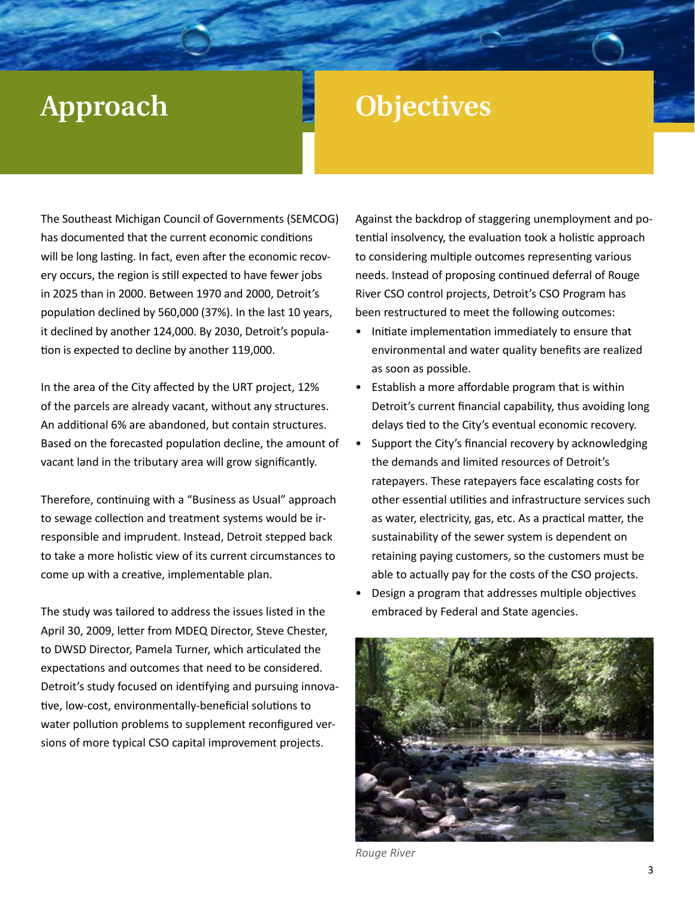# **Approach Objectives**

The Southeast Michigan Council of Governments (SEMCOG) has documented that the current economic conditions will be long lasting. In fact, even after the economic recovery occurs, the region is still expected to have fewer jobs in 2025 than in 2000. Between 1970 and 2000, Detroit's population declined by 560,000 (37%). In the last 10 years, it declined by another 124,000. By 2030, Detroit's population is expected to decline by another 119,000.

In the area of the City affected by the URT project, 12% of the parcels are already vacant, without any structures. An additional 6% are abandoned, but contain structures. Based on the forecasted population decline, the amount of vacant land in the tributary area will grow significantly.

Therefore, continuing with a "Business as Usual" approach to sewage collection and treatment systems would be irresponsible and imprudent. Instead, Detroit stepped back to take a more holistic view of its current circumstances to come up with a creative, implementable plan.

The study was tailored to address the issues listed in the April 30, 2009, letter from MDEQ Director, Steve Chester, to DWSD Director, Pamela Turner, which articulated the expectations and outcomes that need to be considered. Detroit's study focused on identifying and pursuing innovative, low-cost, environmentally-beneficial solutions to water pollution problems to supplement reconfigured versions of more typical CSO capital improvement projects.

Against the backdrop of staggering unemployment and potential insolvency, the evaluation took a holistic approach to considering multiple outcomes representing various needs. Instead of proposing continued deferral of Rouge River CSO control projects, Detroit's CSO Program has been restructured to meet the following outcomes:

- Initiate implementation immediately to ensure that environmental and water quality benefits are realized as soon as possible.
- Establish a more affordable program that is within Detroit's current financial capability, thus avoiding long delays tied to the City's eventual economic recovery.
- Support the City's financial recovery by acknowledging the demands and limited resources of Detroit's ratepayers. These ratepayers face escalating costs for other essential utilities and infrastructure services such as water, electricity, gas, etc. As a practical matter, the sustainability of the sewer system is dependent on retaining paying customers, so the customers must be able to actually pay for the costs of the CSO projects.
- Design a program that addresses multiple objectives embraced by Federal and State agencies.



*Rouge River*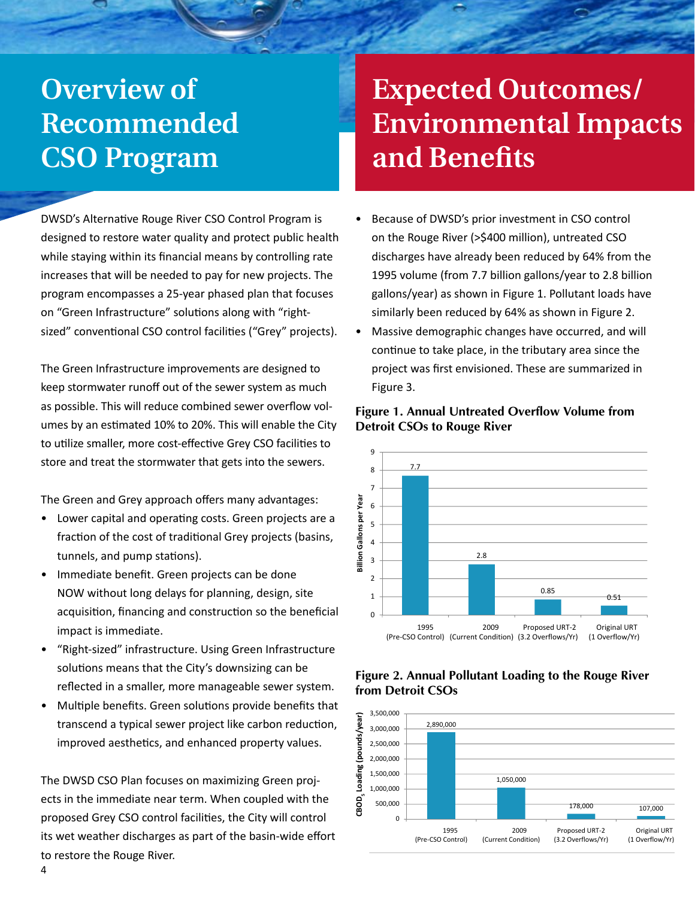# **Overview of Recommended CSO Program**

DWSD's Alternative Rouge River CSO Control Program is designed to restore water quality and protect public health while staying within its financial means by controlling rate increases that will be needed to pay for new projects. The program encompasses a 25-year phased plan that focuses on "Green Infrastructure" solutions along with "rightsized" conventional CSO control facilities ("Grey" projects).

The Green Infrastructure improvements are designed to keep stormwater runoff out of the sewer system as much as possible. This will reduce combined sewer overflow volumes by an estimated 10% to 20%. This will enable the City to utilize smaller, more cost-effective Grey CSO facilities to store and treat the stormwater that gets into the sewers.

The Green and Grey approach offers many advantages:

- Lower capital and operating costs. Green projects are a fraction of the cost of traditional Grey projects (basins, tunnels, and pump stations).
- Immediate benefit. Green projects can be done NOW without long delays for planning, design, site acquisition, financing and construction so the beneficial impact is immediate.
- "Right-sized" infrastructure. Using Green Infrastructure solutions means that the City's downsizing can be reflected in a smaller, more manageable sewer system.
- Multiple benefits. Green solutions provide benefits that transcend a typical sewer project like carbon reduction, improved aesthetics, and enhanced property values.

The DWSD CSO Plan focuses on maximizing Green projects in the immediate near term. When coupled with the proposed Grey CSO control facilities, the City will control its wet weather discharges as part of the basin-wide effort to restore the Rouge River.

# **Expected Outcomes/ Environmental Impacts and Benefits**

- Because of DWSD's prior investment in CSO control on the Rouge River (>\$400 million), untreated CSO discharges have already been reduced by 64% from the 1995 volume (from 7.7 billion gallons/year to 2.8 billion gallons/year) as shown in Figure 1. Pollutant loads have similarly been reduced by 64% as shown in Figure 2.
- Massive demographic changes have occurred, and will continue to take place, in the tributary area since the project was first envisioned. These are summarized in Figure 3.



# **Figure 1. Annual Untreated Overflow Volume from Annual Untreated Overflow Volume Detroit CSOs to Rouge River from Detroit CSOs to Rouge River**

### **Figure 2. Annual Pollutant Loading to the Rouge River Annual CBOD5 CBOD Loading to Rouge River <sup>5</sup> from Detroit CSOs**

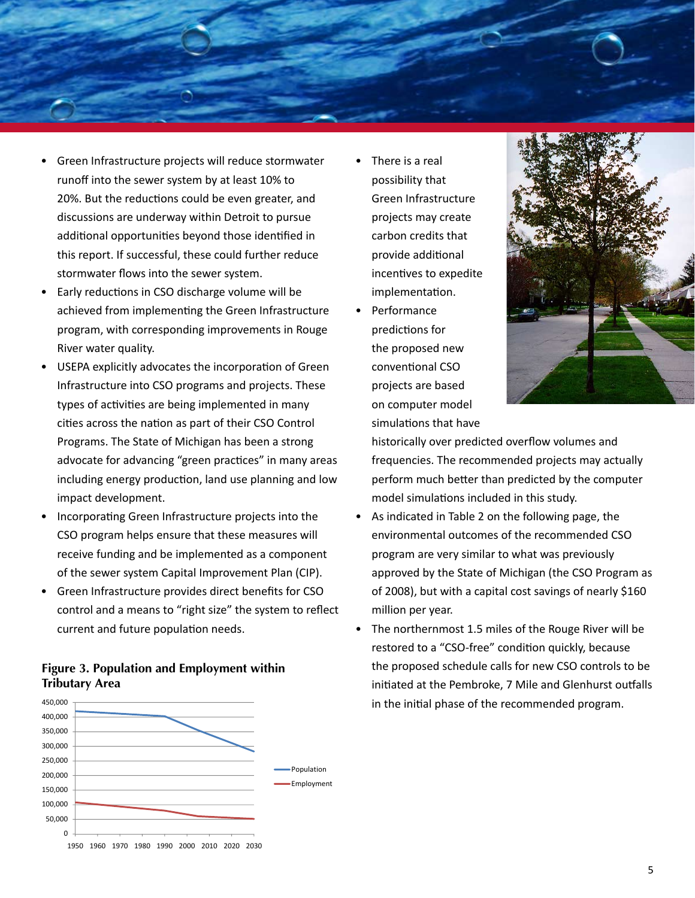

- Green Infrastructure projects will reduce stormwater runoff into the sewer system by at least 10% to 20%. But the reductions could be even greater, and discussions are underway within Detroit to pursue additional opportunities beyond those identified in this report. If successful, these could further reduce stormwater flows into the sewer system.
- Early reductions in CSO discharge volume will be achieved from implementing the Green Infrastructure program, with corresponding improvements in Rouge River water quality.
- USEPA explicitly advocates the incorporation of Green Infrastructure into CSO programs and projects. These types of activities are being implemented in many cities across the nation as part of their CSO Control Programs. The State of Michigan has been a strong advocate for advancing "green practices" in many areas including energy production, land use planning and low impact development.
- Incorporating Green Infrastructure projects into the CSO program helps ensure that these measures will receive funding and be implemented as a component of the sewer system Capital Improvement Plan (CIP).
- Green Infrastructure provides direct benefits for CSO control and a means to "right size" the system to reflect current and future population needs.

# **Figure 3. Population and Employment within Tributary Area**



- There is a real possibility that Green Infrastructure projects may create carbon credits that provide additional incentives to expedite implementation.
- Performance predictions for the proposed new conventional CSO projects are based on computer model simulations that have



historically over predicted overflow volumes and frequencies. The recommended projects may actually perform much better than predicted by the computer model simulations included in this study.

- As indicated in Table 2 on the following page, the environmental outcomes of the recommended CSO program are very similar to what was previously approved by the State of Michigan (the CSO Program as of 2008), but with a capital cost savings of nearly \$160 million per year.
- The northernmost 1.5 miles of the Rouge River will be restored to a "CSO-free" condition quickly, because the proposed schedule calls for new CSO controls to be initiated at the Pembroke, 7 Mile and Glenhurst outfalls in the initial phase of the recommended program.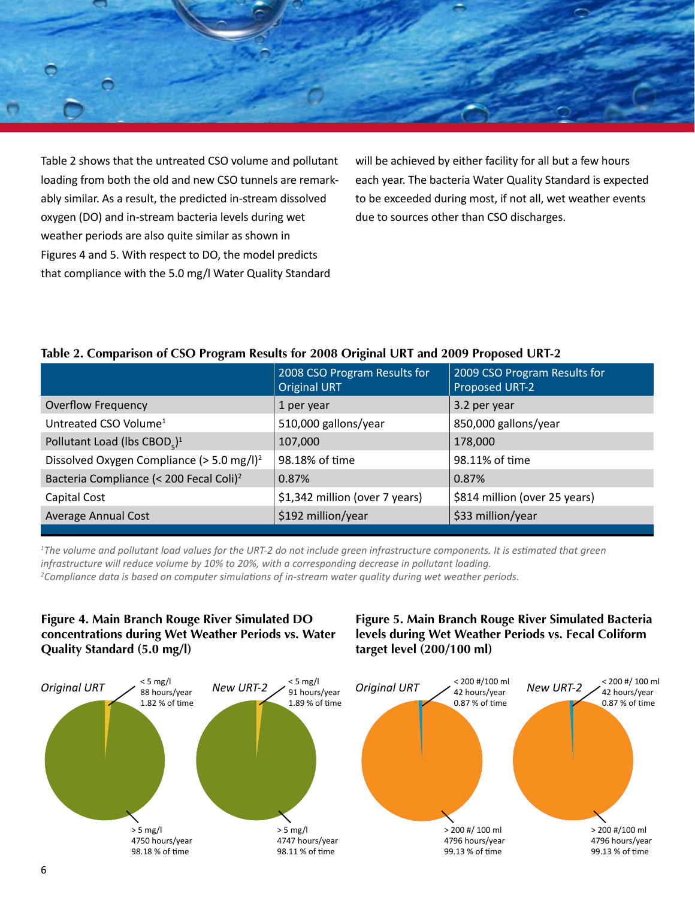

Table 2 shows that the untreated CSO volume and pollutant loading from both the old and new CSO tunnels are remarkably similar. As a result, the predicted in-stream dissolved oxygen (DO) and in-stream bacteria levels during wet weather periods are also quite similar as shown in Figures 4 and 5. With respect to DO, the model predicts that compliance with the 5.0 mg/l Water Quality Standard

will be achieved by either facility for all but a few hours each year. The bacteria Water Quality Standard is expected to be exceeded during most, if not all, wet weather events due to sources other than CSO discharges.

# **Table 2. Comparison of CSO Program Results for 2008 Original URT and 2009 Proposed URT-2**

|                                                       | 2008 CSO Program Results for<br><b>Original URT</b> | 2009 CSO Program Results for<br>Proposed URT-2 |
|-------------------------------------------------------|-----------------------------------------------------|------------------------------------------------|
| <b>Overflow Frequency</b>                             | 1 per year                                          | 3.2 per year                                   |
| Untreated CSO Volume <sup>1</sup>                     | 510,000 gallons/year                                | 850,000 gallons/year                           |
| Pollutant Load (lbs CBOD <sub>5</sub> ) <sup>1</sup>  | 107,000                                             | 178,000                                        |
| Dissolved Oxygen Compliance (> 5.0 mg/l) <sup>2</sup> | 98.18% of time                                      | 98.11% of time                                 |
| Bacteria Compliance (< 200 Fecal Coli) <sup>2</sup>   | 0.87%                                               | 0.87%                                          |
| Capital Cost                                          | \$1,342 million (over 7 years)                      | \$814 million (over 25 years)                  |
| <b>Average Annual Cost</b>                            | \$192 million/year                                  | \$33 million/year                              |
|                                                       |                                                     |                                                |

<sup>1</sup>The volume and pollutant load values for the URT-2 do not include green infrastructure components. It is estimated that green *infrastructure will reduce volume by 10% to 20%, with a corresponding decrease in pollutant loading.*

*2 Compliance data is based on computer simulations of in-stream water quality during wet weather periods.* 

# **Figure 4. Main Branch Rouge River Simulated DO concentrations during Wet Weather Periods vs. Water Quality Standard (5.0 mg/l)**

# **Figure 5. Main Branch Rouge River Simulated Bacteria levels during Wet Weather Periods vs. Fecal Coliform target level (200/100 ml)**

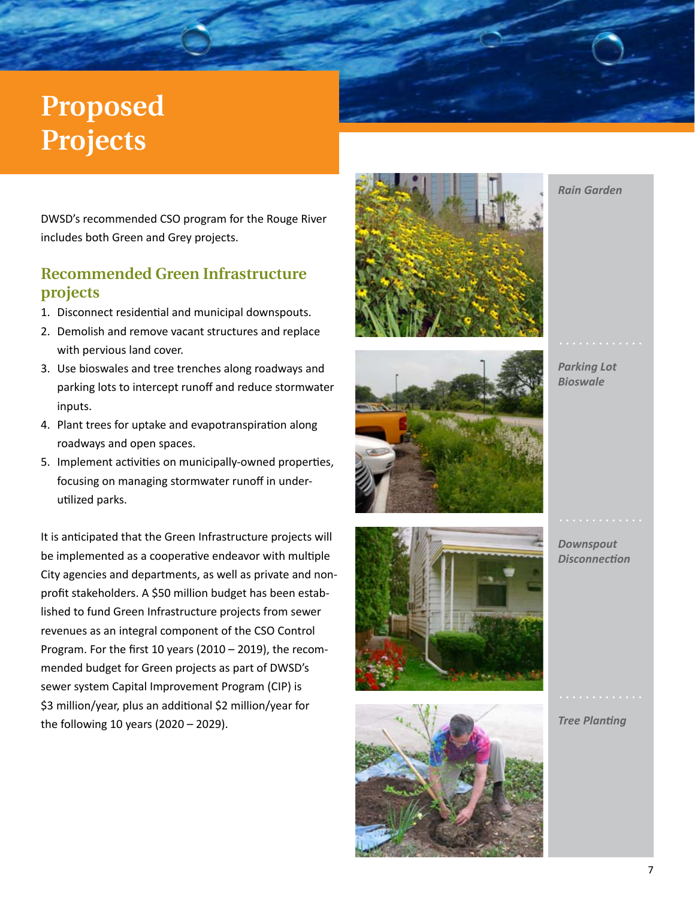# **Proposed Projects**

DWSD's recommended CSO program for the Rouge River includes both Green and Grey projects.

# **Recommended Green Infrastructure projects**

- 1. Disconnect residential and municipal downspouts.
- 2. Demolish and remove vacant structures and replace with pervious land cover.
- 3. Use bioswales and tree trenches along roadways and parking lots to intercept runoff and reduce stormwater inputs.
- 4. Plant trees for uptake and evapotranspiration along roadways and open spaces.
- 5. Implement activities on municipally-owned properties, focusing on managing stormwater runoff in underutilized parks.

It is anticipated that the Green Infrastructure projects will be implemented as a cooperative endeavor with multiple City agencies and departments, as well as private and nonprofit stakeholders. A \$50 million budget has been established to fund Green Infrastructure projects from sewer revenues as an integral component of the CSO Control Program. For the first 10 years (2010 – 2019), the recommended budget for Green projects as part of DWSD's sewer system Capital Improvement Program (CIP) is \$3 million/year, plus an additional \$2 million/year for the following 10 years (2020 – 2029).





*Parking Lot Bioswale*

*Rain Garden*





*Downspout Disconnection*

*Tree Planting*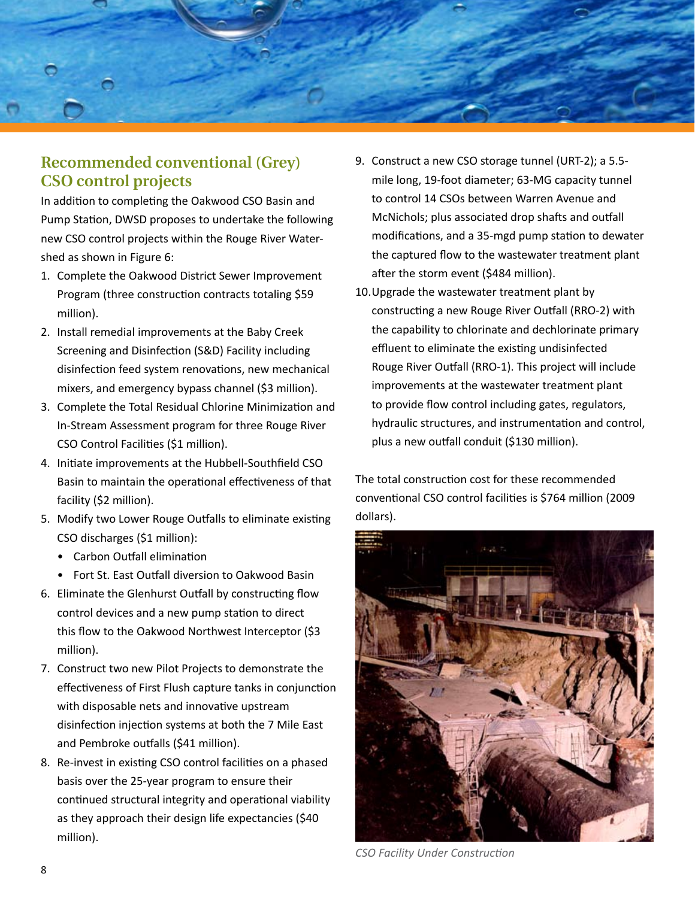

# **Recommended conventional (Grey) CSO control projects**

In addition to completing the Oakwood CSO Basin and Pump Station, DWSD proposes to undertake the following new CSO control projects within the Rouge River Watershed as shown in Figure 6:

- 1. Complete the Oakwood District Sewer Improvement Program (three construction contracts totaling \$59 million).
- 2. Install remedial improvements at the Baby Creek Screening and Disinfection (S&D) Facility including disinfection feed system renovations, new mechanical mixers, and emergency bypass channel (\$3 million).
- 3. Complete the Total Residual Chlorine Minimization and In-Stream Assessment program for three Rouge River CSO Control Facilities (\$1 million).
- 4. Initiate improvements at the Hubbell-Southfield CSO Basin to maintain the operational effectiveness of that facility (\$2 million).
- 5. Modify two Lower Rouge Outfalls to eliminate existing CSO discharges (\$1 million):
	- Carbon Outfall elimination
	- Fort St. East Outfall diversion to Oakwood Basin
- 6. Eliminate the Glenhurst Outfall by constructing flow control devices and a new pump station to direct this flow to the Oakwood Northwest Interceptor (\$3 million).
- 7. Construct two new Pilot Projects to demonstrate the effectiveness of First Flush capture tanks in conjunction with disposable nets and innovative upstream disinfection injection systems at both the 7 Mile East and Pembroke outfalls (\$41 million).
- 8. Re-invest in existing CSO control facilities on a phased basis over the 25-year program to ensure their continued structural integrity and operational viability as they approach their design life expectancies (\$40 million).
- 9. Construct a new CSO storage tunnel (URT-2); a 5.5 mile long, 19-foot diameter; 63-MG capacity tunnel to control 14 CSOs between Warren Avenue and McNichols; plus associated drop shafts and outfall modifications, and a 35-mgd pump station to dewater the captured flow to the wastewater treatment plant after the storm event (\$484 million).
- 10.Upgrade the wastewater treatment plant by constructing a new Rouge River Outfall (RRO-2) with the capability to chlorinate and dechlorinate primary effluent to eliminate the existing undisinfected Rouge River Outfall (RRO-1). This project will include improvements at the wastewater treatment plant to provide flow control including gates, regulators, hydraulic structures, and instrumentation and control, plus a new outfall conduit (\$130 million).

The total construction cost for these recommended conventional CSO control facilities is \$764 million (2009 dollars).



*CSO Facility Under Construction*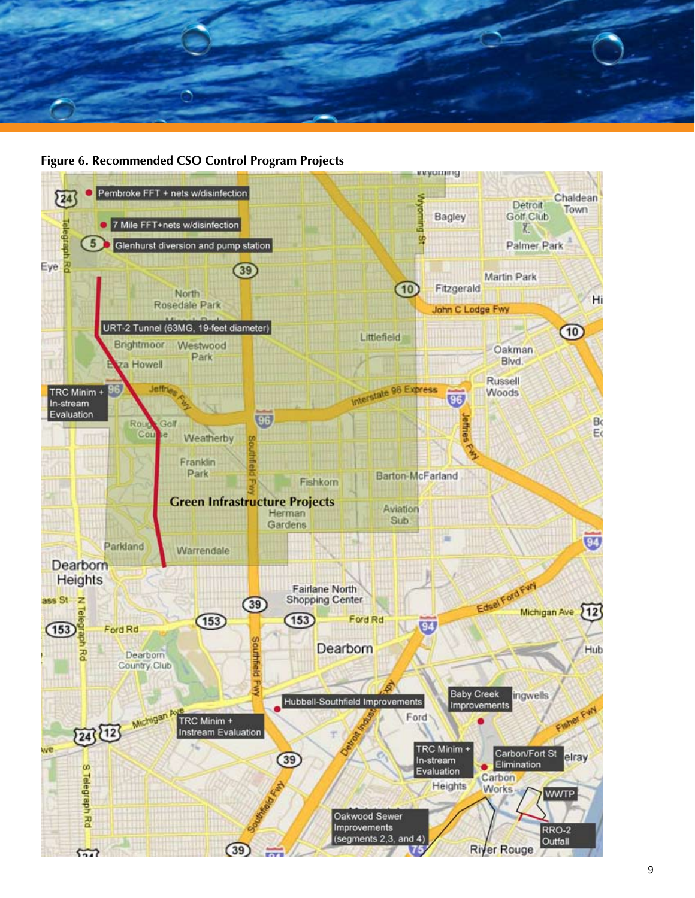

#### **Figure 6. Recommended CSO Control Program Projects**

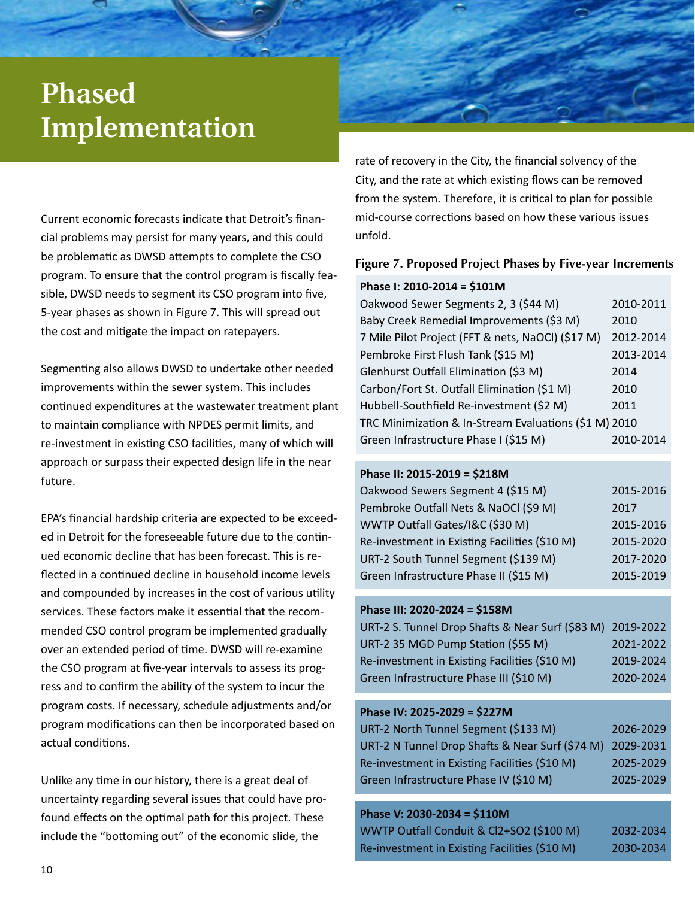# **Phased Implementation**

Current economic forecasts indicate that Detroit's financial problems may persist for many years, and this could be problematic as DWSD attempts to complete the CSO program. To ensure that the control program is fiscally feasible, DWSD needs to segment its CSO program into five, 5-year phases as shown in Figure 7. This will spread out the cost and mitigate the impact on ratepayers.

Segmenting also allows DWSD to undertake other needed improvements within the sewer system. This includes continued expenditures at the wastewater treatment plant to maintain compliance with NPDES permit limits, and re-investment in existing CSO facilities, many of which will approach or surpass their expected design life in the near future.

EPA's financial hardship criteria are expected to be exceeded in Detroit for the foreseeable future due to the continued economic decline that has been forecast. This is reflected in a continued decline in household income levels and compounded by increases in the cost of various utility services. These factors make it essential that the recommended CSO control program be implemented gradually over an extended period of time. DWSD will re-examine the CSO program at five-year intervals to assess its progress and to confirm the ability of the system to incur the program costs. If necessary, schedule adjustments and/or program modifications can then be incorporated based on actual conditions.

Unlike any time in our history, there is a great deal of uncertainty regarding several issues that could have profound effects on the optimal path for this project. These include the "bottoming out" of the economic slide, the

rate of recovery in the City, the financial solvency of the City, and the rate at which existing flows can be removed from the system. Therefore, it is critical to plan for possible mid-course corrections based on how these various issues unfold.

### **Figure 7. Proposed Project Phases by Five-year Increments**

#### **Phase I: 2010-2014 = \$101M**

| Oakwood Sewer Segments 2, 3 (\$44 M)                  | 2010-2011 |
|-------------------------------------------------------|-----------|
| Baby Creek Remedial Improvements (\$3 M)              | 2010      |
| 7 Mile Pilot Project (FFT & nets, NaOCl) (\$17 M)     | 2012-2014 |
| Pembroke First Flush Tank (\$15 M)                    | 2013-2014 |
|                                                       |           |
| Glenhurst Outfall Elimination (\$3 M)                 | 2014      |
| Carbon/Fort St. Outfall Elimination (\$1 M)           | 2010      |
| Hubbell-Southfield Re-investment (\$2 M)              | 2011      |
| TRC Minimization & In-Stream Evaluations (\$1 M) 2010 |           |
| Green Infrastructure Phase I (\$15 M)                 | 2010-2014 |

### **Phase II: 2015-2019 = \$218M**

| Oakwood Sewers Segment 4 (\$15 M)             | 2015-2016 |
|-----------------------------------------------|-----------|
| Pembroke Outfall Nets & NaOCl (\$9 M)         | 2017      |
| WWTP Outfall Gates/I&C (\$30 M)               | 2015-2016 |
| Re-investment in Existing Facilities (\$10 M) | 2015-2020 |
| URT-2 South Tunnel Segment (\$139 M)          | 2017-2020 |
| Green Infrastructure Phase II (\$15 M)        | 2015-2019 |

### **Phase III: 2020-2024 = \$158M**

| URT-2 S. Tunnel Drop Shafts & Near Surf (\$83 M) 2019-2022 |           |
|------------------------------------------------------------|-----------|
| URT-2 35 MGD Pump Station (\$55 M)                         | 2021-2022 |
| Re-investment in Existing Facilities (\$10 M)              | 2019-2024 |
| Green Infrastructure Phase III (\$10 M)                    | 2020-2024 |

### **Phase IV: 2025-2029 = \$227M**

| URT-2 North Tunnel Segment (\$133 M)                      | 2026-2029 |
|-----------------------------------------------------------|-----------|
| URT-2 N Tunnel Drop Shafts & Near Surf (\$74 M) 2029-2031 |           |
| Re-investment in Existing Facilities (\$10 M)             | 2025-2029 |
| Green Infrastructure Phase IV (\$10 M)                    | 2025-2029 |

### **Phase V: 2030-2034 = \$110M**

| WWTP Outfall Conduit & Cl2+SO2 (\$100 M)      | 2032-2034 |
|-----------------------------------------------|-----------|
| Re-investment in Existing Facilities (\$10 M) | 2030-2034 |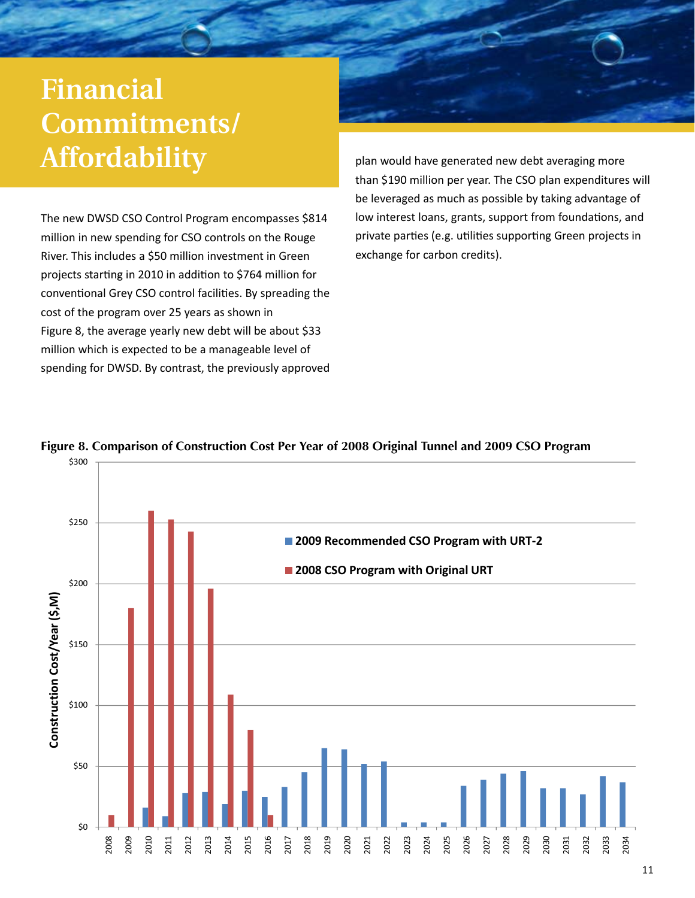# mandia<br>Pompit **JOININININININININININININININININI Financial Commitments/ Affordability**

The new DWSD CSO Control Program encompasses \$814 million in new spending for CSO controls on the Rouge River. This includes a \$50 million investment in Green projects starting in 2010 in addition to \$764 million for conventional Grey CSO control facilities. By spreading the cost of the program over 25 years as shown in Figure 8, the average yearly new debt will be about \$33 million which is expected to be a manageable level of spending for DWSD. By contrast, the previously approved



plan would have generated new debt averaging more than \$190 million per year. The CSO plan expenditures will be leveraged as much as possible by taking advantage of low interest loans, grants, support from foundations, and private parties (e.g. utilities supporting Green projects in exchange for carbon credits).



### **Figure 8. Comparison of Construction Cost Per Year of 2008 Original Tunnel and 2009 CSO Program**